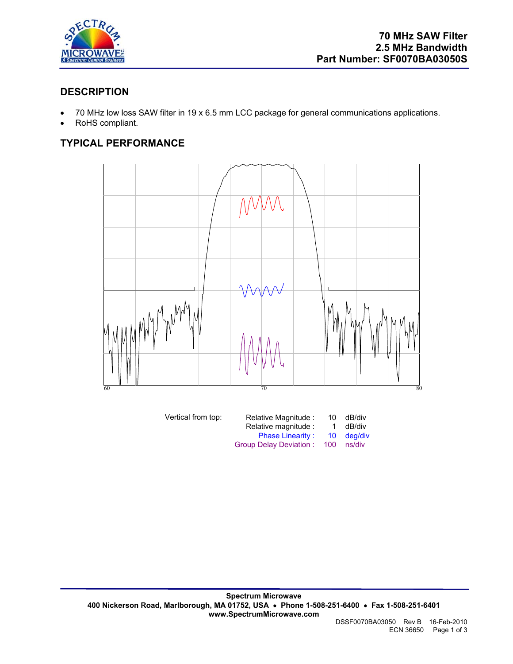

## **DESCRIPTION**

- 70 MHz low loss SAW filter in 19 x 6.5 mm LCC package for general communications applications.
- RoHS compliant.

# **TYPICAL PERFORMANCE**



| dB/div     |
|------------|
| dB/div     |
| 10 dea/div |
| ns/div     |
|            |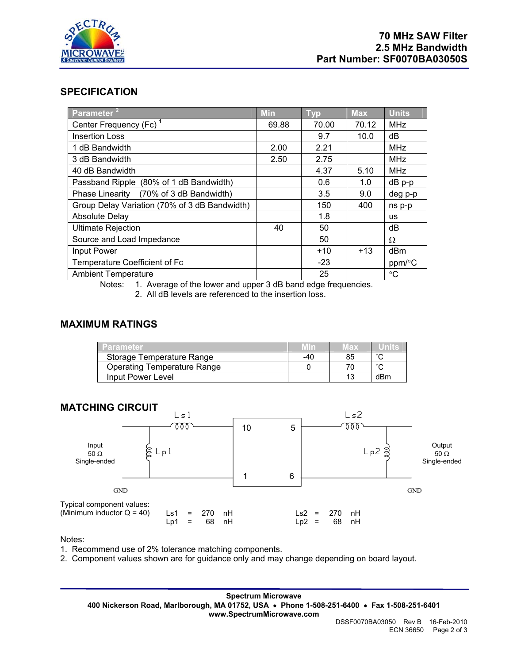

#### **SPECIFICATION**

| Parameter <sup>21</sup>                       | <b>Min</b> | <b>Typ</b> | <b>Max</b> | <b>Units</b>    |
|-----------------------------------------------|------------|------------|------------|-----------------|
| Center Frequency (Fc) <sup>1</sup>            | 69.88      | 70.00      | 70.12      | <b>MHz</b>      |
| <b>Insertion Loss</b>                         |            | 9.7        | 10.0       | dB              |
| 1 dB Bandwidth                                | 2.00       | 2.21       |            | <b>MHz</b>      |
| 3 dB Bandwidth                                | 2.50       | 2.75       |            | <b>MHz</b>      |
| 40 dB Bandwidth                               |            | 4.37       | 5.10       | <b>MHz</b>      |
| Passband Ripple (80% of 1 dB Bandwidth)       |            | 0.6        | 1.0        | dB p-p          |
| (70% of 3 dB Bandwidth)<br>Phase Linearity    |            | 3.5        | 9.0        | deg p-p         |
| Group Delay Variation (70% of 3 dB Bandwidth) |            | 150        | 400        | ns p-p          |
| Absolute Delay                                |            | 1.8        |            | <b>us</b>       |
| <b>Ultimate Rejection</b>                     | 40         | 50         |            | dB              |
| Source and Load Impedance                     |            | 50         |            | Ω               |
| Input Power                                   |            | $+10$      | $+13$      | dBm             |
| Temperature Coefficient of Fc                 |            | $-23$      |            | ppm/°C          |
| <b>Ambient Temperature</b>                    |            | 25         |            | $\rm ^{\circ}C$ |

Notes: 1. Average of the lower and upper 3 dB band edge frequencies.

2. All dB levels are referenced to the insertion loss.

## **MAXIMUM RATINGS**

| Parameter                          |     | 1ах |        |
|------------------------------------|-----|-----|--------|
| Storage Temperature Range          | -40 | 85  |        |
| <b>Operating Temperature Range</b> |     |     | $\sim$ |
| Input Power Level                  |     |     | dBm    |



Notes:

- 1. Recommend use of 2% tolerance matching components.
- 2. Component values shown are for guidance only and may change depending on board layout.

**Spectrum Microwave 400 Nickerson Road, Marlborough, MA 01752, USA** • **Phone 1-508-251-6400** • **Fax 1-508-251-6401 www.SpectrumMicrowave.com**